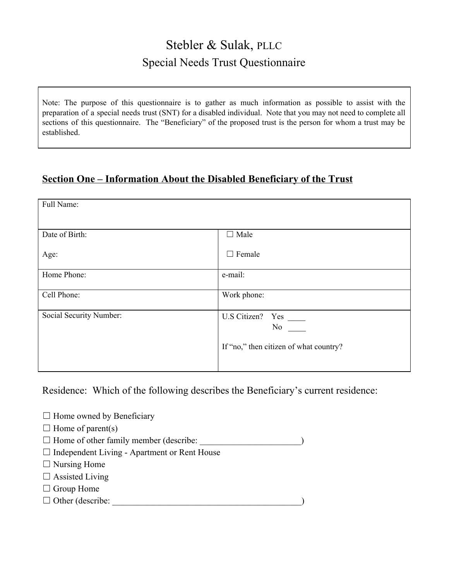# Stebler & Sulak, PLLC Special Needs Trust Questionnaire

Note: The purpose of this questionnaire is to gather as much information as possible to assist with the preparation of a special needs trust (SNT) for a disabled individual. Note that you may not need to complete all sections of this questionnaire. The "Beneficiary" of the proposed trust is the person for whom a trust may be established.

# **Section One – Information About the Disabled Beneficiary of the Trust**

| Full Name:              |                                              |
|-------------------------|----------------------------------------------|
| Date of Birth:          | $\Box$ Male                                  |
| Age:                    | $\Box$ Female                                |
| Home Phone:             | e-mail:                                      |
| Cell Phone:             | Work phone:                                  |
| Social Security Number: | No<br>If "no," then citizen of what country? |

Residence: Which of the following describes the Beneficiary's current residence:

- $\Box$  Home owned by Beneficiary
- $\Box$  Home of parent(s)
- $\Box$  Home of other family member (describe:  $\Box$
- $\Box$  Independent Living Apartment or Rent House
- $\Box$  Nursing Home
- $\Box$  Assisted Living
- □ Group Home
- $\Box$  Other (describe:  $\Box$ )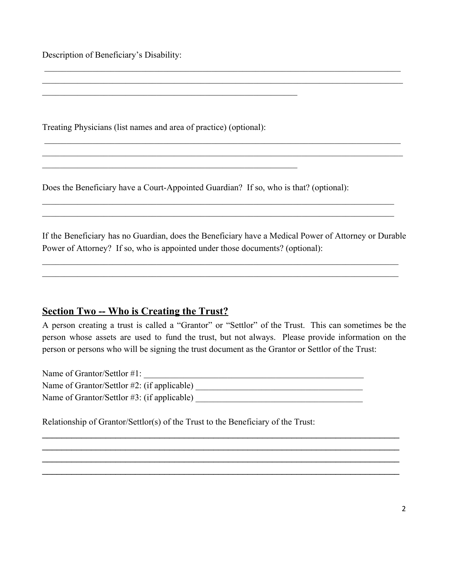Description of Beneficiary's Disability:

Treating Physicians (list names and area of practice) (optional):

 $\mathcal{L}_\text{max}$  , and the contribution of the contribution of the contribution of the contribution of the contribution of the contribution of the contribution of the contribution of the contribution of the contribution of t

 $\mathcal{L}_\text{max}$  , and the contribution of the contribution of the contribution of the contribution of the contribution of the contribution of the contribution of the contribution of the contribution of the contribution of t

Does the Beneficiary have a Court-Appointed Guardian? If so, who is that? (optional):

If the Beneficiary has no Guardian, does the Beneficiary have a Medical Power of Attorney or Durable Power of Attorney? If so, who is appointed under those documents? (optional):

 $\_$  , and the contribution of the contribution of the contribution of the contribution of  $\mathcal{L}_\text{max}$  $\_$  , and the contribution of the contribution of the contribution of the contribution of  $\mathcal{L}_\text{max}$ 

 $\_$  , and the contribution of the contribution of  $\mathcal{L}_\mathcal{A}$  , and the contribution of  $\mathcal{L}_\mathcal{A}$  $\_$  , and the contribution of the contribution of  $\mathcal{L}_\mathcal{A}$  , and the contribution of  $\mathcal{L}_\mathcal{A}$ 

 \_\_\_\_\_\_\_\_\_\_\_\_\_\_\_\_\_\_\_\_\_\_\_\_\_\_\_\_\_\_\_\_\_\_\_\_\_\_\_\_\_\_\_\_\_\_\_\_\_\_\_\_\_\_\_\_\_\_\_\_\_\_\_\_\_\_\_\_\_\_\_\_\_\_\_\_\_\_\_\_\_  $\_$  , and the contribution of the contribution of the contribution of the contribution of  $\mathcal{L}_\text{max}$ 

 \_\_\_\_\_\_\_\_\_\_\_\_\_\_\_\_\_\_\_\_\_\_\_\_\_\_\_\_\_\_\_\_\_\_\_\_\_\_\_\_\_\_\_\_\_\_\_\_\_\_\_\_\_\_\_\_\_\_\_\_\_\_\_\_\_\_\_\_\_\_\_\_\_\_\_\_\_\_\_\_\_  $\_$  , and the contribution of the contribution of the contribution of the contribution of  $\mathcal{L}_\text{max}$ 

### **Section Two -- Who is Creating the Trust?**

A person creating a trust is called a "Grantor" or "Settlor" of the Trust. This can sometimes be the person whose assets are used to fund the trust, but not always. Please provide information on the person or persons who will be signing the trust document as the Grantor or Settlor of the Trust:

\_\_\_\_\_\_\_\_\_\_\_\_\_\_\_\_\_\_\_\_\_\_\_\_\_\_\_\_\_\_\_\_\_\_\_\_\_\_\_\_\_\_\_\_\_\_\_\_\_\_\_\_\_\_\_\_\_\_\_\_\_\_\_\_\_\_\_\_\_\_\_\_\_ \_\_\_\_\_\_\_\_\_\_\_\_\_\_\_\_\_\_\_\_\_\_\_\_\_\_\_\_\_\_\_\_\_\_\_\_\_\_\_\_\_\_\_\_\_\_\_\_\_\_\_\_\_\_\_\_\_\_\_\_\_\_\_\_\_\_\_\_\_\_\_\_\_ \_\_\_\_\_\_\_\_\_\_\_\_\_\_\_\_\_\_\_\_\_\_\_\_\_\_\_\_\_\_\_\_\_\_\_\_\_\_\_\_\_\_\_\_\_\_\_\_\_\_\_\_\_\_\_\_\_\_\_\_\_\_\_\_\_\_\_\_\_\_\_\_\_ \_\_\_\_\_\_\_\_\_\_\_\_\_\_\_\_\_\_\_\_\_\_\_\_\_\_\_\_\_\_\_\_\_\_\_\_\_\_\_\_\_\_\_\_\_\_\_\_\_\_\_\_\_\_\_\_\_\_\_\_\_\_\_\_\_\_\_\_\_\_\_\_\_

Name of Grantor/Settlor #1: \_\_\_\_\_\_\_\_\_\_\_\_\_\_\_\_\_\_\_\_\_\_\_\_\_\_\_\_\_\_\_\_\_\_\_\_\_\_\_\_\_\_\_\_\_\_\_\_\_\_ Name of Grantor/Settlor #2: (if applicable) \_\_\_\_\_\_\_\_\_\_\_\_\_\_\_\_\_\_\_\_\_\_\_\_\_\_\_\_\_\_\_\_\_\_\_\_\_\_ Name of Grantor/Settlor #3: (if applicable) \_\_\_\_\_\_\_\_\_\_\_\_\_\_\_\_\_\_\_\_\_\_\_\_\_\_\_\_\_\_\_\_\_\_\_\_\_\_

Relationship of Grantor/Settlor(s) of the Trust to the Beneficiary of the Trust: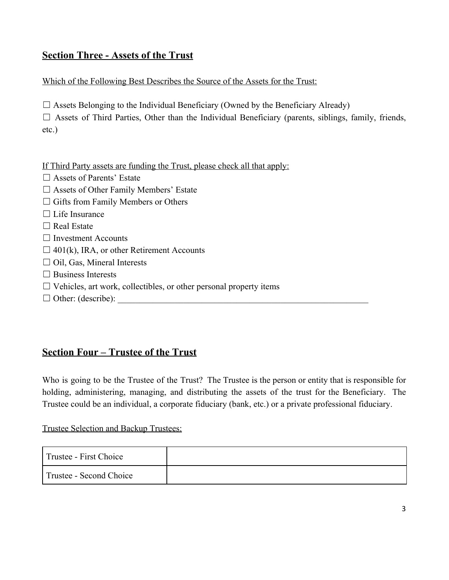# **Section Three - Assets of the Trust**

Which of the Following Best Describes the Source of the Assets for the Trust:

 $\Box$  Assets Belonging to the Individual Beneficiary (Owned by the Beneficiary Already)

 $\Box$  Assets of Third Parties, Other than the Individual Beneficiary (parents, siblings, family, friends, etc.)

If Third Party assets are funding the Trust, please check all that apply:

- □ Assets of Parents' Estate
- $\Box$  Assets of Other Family Members' Estate
- □ Gifts from Family Members or Others
- $\Box$  Life Insurance
- $\Box$  Real Estate
- ☐ Investment Accounts
- $\Box$  401(k), IRA, or other Retirement Accounts
- $\Box$  Oil, Gas, Mineral Interests
- $\Box$  Business Interests
- $\Box$  Vehicles, art work, collectibles, or other personal property items
- ☐ Other: (describe): \_\_\_\_\_\_\_\_\_\_\_\_\_\_\_\_\_\_\_\_\_\_\_\_\_\_\_\_\_\_\_\_\_\_\_\_\_\_\_\_\_\_\_\_\_\_\_\_\_\_\_\_\_\_\_\_\_

# **Section Four – Trustee of the Trust**

Who is going to be the Trustee of the Trust? The Trustee is the person or entity that is responsible for holding, administering, managing, and distributing the assets of the trust for the Beneficiary. The Trustee could be an individual, a corporate fiduciary (bank, etc.) or a private professional fiduciary.

Trustee Selection and Backup Trustees:

| Trustee - First Choice  |  |
|-------------------------|--|
| Trustee - Second Choice |  |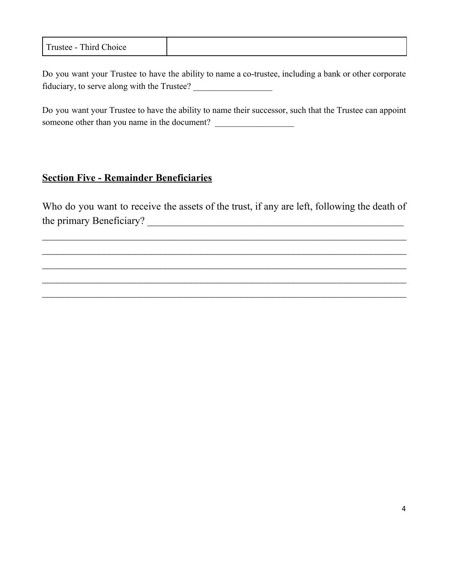| Trustee - Third Choice |
|------------------------|
|------------------------|

Do you want your Trustee to have the ability to name a co-trustee, including a bank or other corporate fiduciary, to serve along with the Trustee? \_\_\_\_\_\_\_\_\_\_\_\_\_\_\_\_\_\_

Do you want your Trustee to have the ability to name their successor, such that the Trustee can appoint someone other than you name in the document?

### **Section Five - Remainder Beneficiaries**

Who do you want to receive the assets of the trust, if any are left, following the death of the primary Beneficiary? \_\_\_\_\_\_\_\_\_\_\_\_\_\_\_\_\_\_\_\_\_\_\_\_\_\_\_\_\_\_\_\_\_\_\_\_\_\_\_\_\_\_\_\_\_\_\_\_\_\_

 $\_$  , and the contribution of the contribution of  $\mathcal{L}_\mathcal{A}$  , and the contribution of  $\mathcal{L}_\mathcal{A}$  $\_$  , and the contribution of the contribution of  $\mathcal{L}_\mathcal{A}$  , and the contribution of  $\mathcal{L}_\mathcal{A}$  $\_$  , and the contribution of the contribution of  $\mathcal{L}_\mathcal{A}$  , and the contribution of  $\mathcal{L}_\mathcal{A}$  $\_$  , and the contribution of the contribution of  $\mathcal{L}_\mathcal{A}$  , and the contribution of  $\mathcal{L}_\mathcal{A}$  $\_$  , and the contribution of the contribution of  $\mathcal{L}_\mathcal{A}$  , and the contribution of  $\mathcal{L}_\mathcal{A}$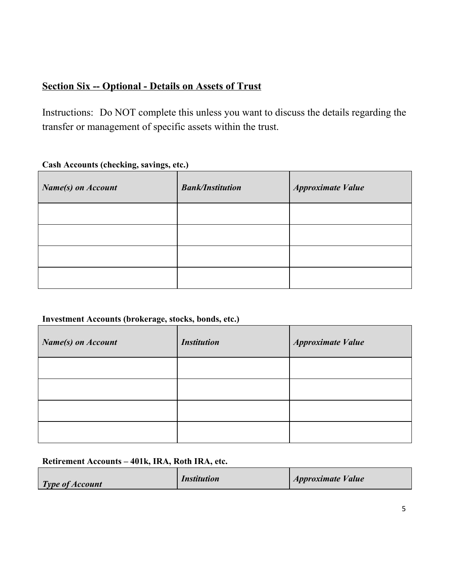# **Section Six -- Optional - Details on Assets of Trust**

Instructions: Do NOT complete this unless you want to discuss the details regarding the transfer or management of specific assets within the trust.

| <b>Name(s)</b> on <b>Account</b> | <b>Bank/Institution</b> | <b>Approximate Value</b> |
|----------------------------------|-------------------------|--------------------------|
|                                  |                         |                          |
|                                  |                         |                          |
|                                  |                         |                          |
|                                  |                         |                          |

#### **Cash Accounts (checking, savings, etc.)**

#### **Investment Accounts (brokerage, stocks, bonds, etc.)**

| <b>Name(s)</b> on Account | <b>Institution</b> | <b>Approximate Value</b> |
|---------------------------|--------------------|--------------------------|
|                           |                    |                          |
|                           |                    |                          |
|                           |                    |                          |
|                           |                    |                          |

#### **Retirement Accounts – 401k, IRA, Roth IRA, etc.**

| <b>Type of Account</b> | <i><b>Institution</b></i> | <i><b>Approximate Value</b></i> |
|------------------------|---------------------------|---------------------------------|
|------------------------|---------------------------|---------------------------------|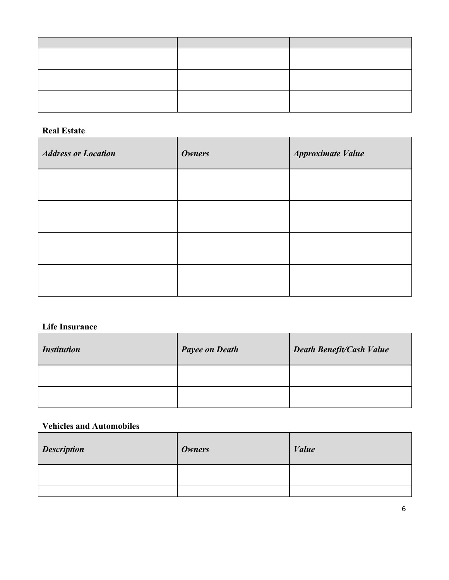#### **Real Estate**

| <b>Address or Location</b> | <b>Owners</b> | <b>Approximate Value</b> |
|----------------------------|---------------|--------------------------|
|                            |               |                          |
|                            |               |                          |
|                            |               |                          |
|                            |               |                          |

#### **Life Insurance**

| <i><b>Institution</b></i> | <b>Payee on Death</b> | <b>Death Benefit/Cash Value</b> |
|---------------------------|-----------------------|---------------------------------|
|                           |                       |                                 |
|                           |                       |                                 |

### **Vehicles and Automobiles**

| <b>Description</b> | <i><b>Owners</b></i> | <b>Value</b> |
|--------------------|----------------------|--------------|
|                    |                      |              |
|                    |                      |              |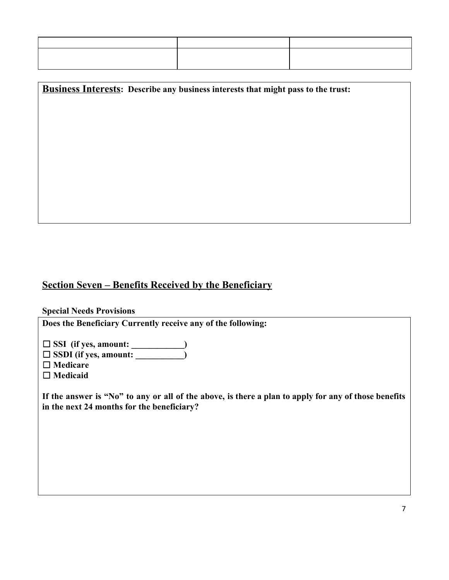**Business Interests: Describe any business interests that might pass to the trust:**

### **Section Seven – Benefits Received by the Beneficiary**

#### **Special Needs Provisions**

**Does the Beneficiary Currently receive any of the following:**

☐ **SSI (if yes, amount: \_\_\_\_\_\_\_\_\_\_\_\_)**

☐ **SSDI (if yes, amount: \_\_\_\_\_\_\_\_\_\_\_)**

☐ **Medicare**

□ Medicaid

If the answer is "No" to any or all of the above, is there a plan to apply for any of those benefits **in the next 24 months for the beneficiary?**